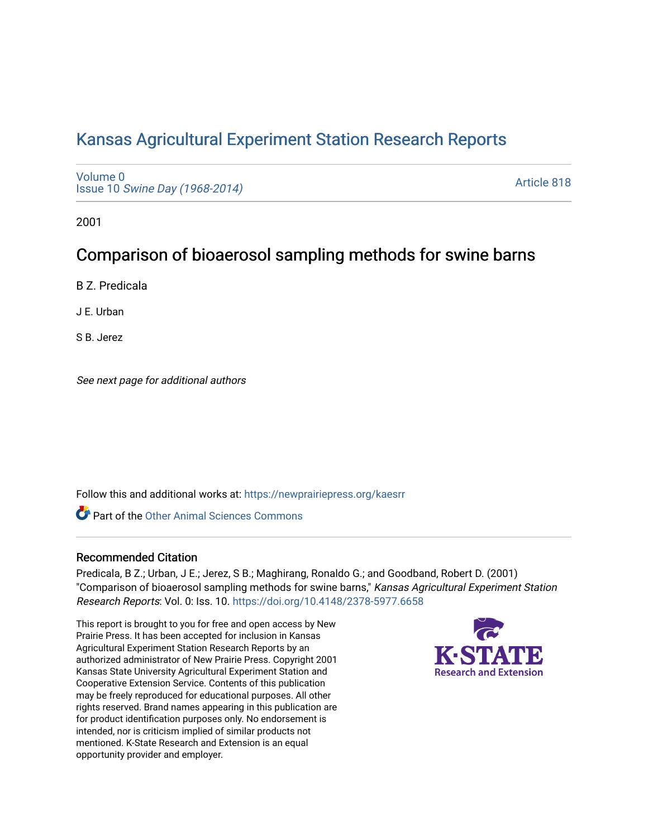# [Kansas Agricultural Experiment Station Research Reports](https://newprairiepress.org/kaesrr)

[Volume 0](https://newprairiepress.org/kaesrr/vol0) Issue 10 [Swine Day \(1968-2014\)](https://newprairiepress.org/kaesrr/vol0/iss10)

[Article 818](https://newprairiepress.org/kaesrr/vol0/iss10/818) 

2001

## Comparison of bioaerosol sampling methods for swine barns

B Z. Predicala

J E. Urban

S B. Jerez

See next page for additional authors

Follow this and additional works at: [https://newprairiepress.org/kaesrr](https://newprairiepress.org/kaesrr?utm_source=newprairiepress.org%2Fkaesrr%2Fvol0%2Fiss10%2F818&utm_medium=PDF&utm_campaign=PDFCoverPages) 

**C** Part of the [Other Animal Sciences Commons](http://network.bepress.com/hgg/discipline/82?utm_source=newprairiepress.org%2Fkaesrr%2Fvol0%2Fiss10%2F818&utm_medium=PDF&utm_campaign=PDFCoverPages)

## Recommended Citation

Predicala, B Z.; Urban, J E.; Jerez, S B.; Maghirang, Ronaldo G.; and Goodband, Robert D. (2001) "Comparison of bioaerosol sampling methods for swine barns," Kansas Agricultural Experiment Station Research Reports: Vol. 0: Iss. 10. <https://doi.org/10.4148/2378-5977.6658>

This report is brought to you for free and open access by New Prairie Press. It has been accepted for inclusion in Kansas Agricultural Experiment Station Research Reports by an authorized administrator of New Prairie Press. Copyright 2001 Kansas State University Agricultural Experiment Station and Cooperative Extension Service. Contents of this publication may be freely reproduced for educational purposes. All other rights reserved. Brand names appearing in this publication are for product identification purposes only. No endorsement is intended, nor is criticism implied of similar products not mentioned. K-State Research and Extension is an equal opportunity provider and employer.

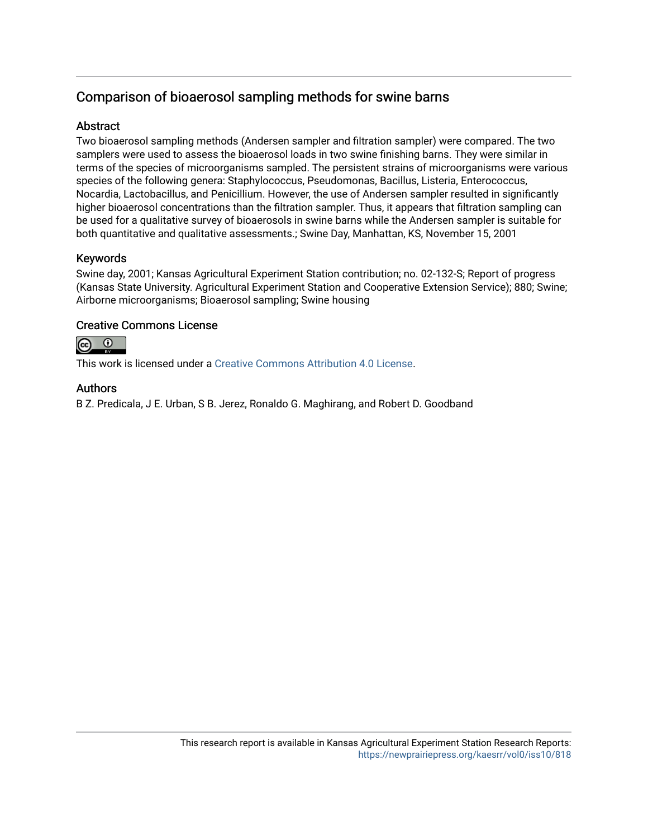## Comparison of bioaerosol sampling methods for swine barns

## **Abstract**

Two bioaerosol sampling methods (Andersen sampler and filtration sampler) were compared. The two samplers were used to assess the bioaerosol loads in two swine finishing barns. They were similar in terms of the species of microorganisms sampled. The persistent strains of microorganisms were various species of the following genera: Staphylococcus, Pseudomonas, Bacillus, Listeria, Enterococcus, Nocardia, Lactobacillus, and Penicillium. However, the use of Andersen sampler resulted in significantly higher bioaerosol concentrations than the filtration sampler. Thus, it appears that filtration sampling can be used for a qualitative survey of bioaerosols in swine barns while the Andersen sampler is suitable for both quantitative and qualitative assessments.; Swine Day, Manhattan, KS, November 15, 2001

## Keywords

Swine day, 2001; Kansas Agricultural Experiment Station contribution; no. 02-132-S; Report of progress (Kansas State University. Agricultural Experiment Station and Cooperative Extension Service); 880; Swine; Airborne microorganisms; Bioaerosol sampling; Swine housing

## Creative Commons License



This work is licensed under a [Creative Commons Attribution 4.0 License](https://creativecommons.org/licenses/by/4.0/).

## Authors

B Z. Predicala, J E. Urban, S B. Jerez, Ronaldo G. Maghirang, and Robert D. Goodband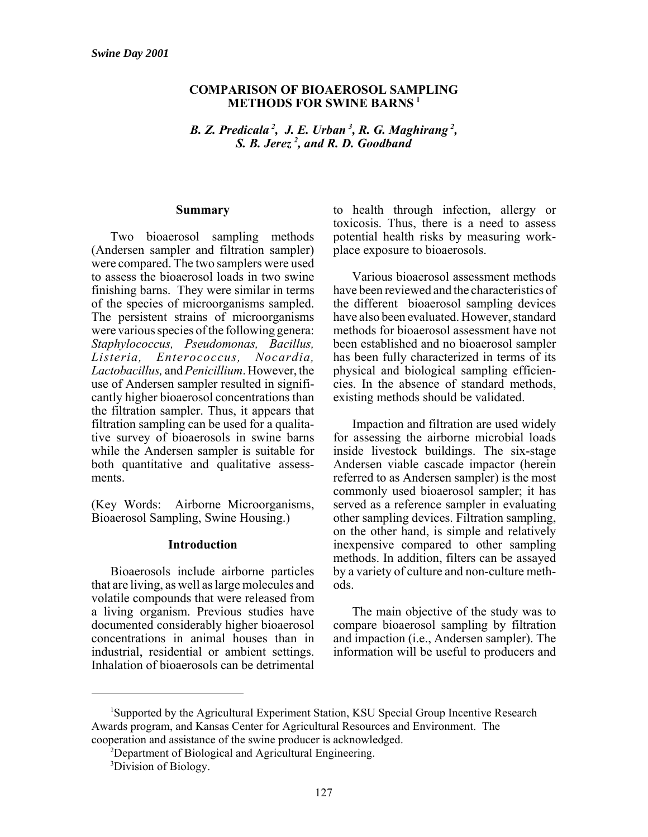#### **COMPARISON OF BIOAEROSOL SAMPLING METHODS FOR SWINE BARNS <sup>1</sup>**

*B. Z. Predicala <sup>2</sup> , J. E. Urban <sup>3</sup> , R. G. Maghirang <sup>2</sup> , S. B. Jerez <sup>2</sup> , and R. D. Goodband*

#### **Summary**

Two bioaerosol sampling methods (Andersen sampler and filtration sampler) were compared. The two samplers were used to assess the bioaerosol loads in two swine finishing barns. They were similar in terms of the species of microorganisms sampled. The persistent strains of microorganisms were various species of the following genera: *Staphylococcus, Pseudomonas, Bacillus, Listeria, Enterococcus, Nocardia, Lactobacillus,* and *Penicillium*. However, the use of Andersen sampler resulted in significantly higher bioaerosol concentrations than the filtration sampler. Thus, it appears that filtration sampling can be used for a qualitative survey of bioaerosols in swine barns while the Andersen sampler is suitable for both quantitative and qualitative assessments.

(Key Words: Airborne Microorganisms, Bioaerosol Sampling, Swine Housing.)

#### **Introduction**

Bioaerosols include airborne particles that are living, as well as large molecules and volatile compounds that were released from a living organism. Previous studies have documented considerably higher bioaerosol concentrations in animal houses than in industrial, residential or ambient settings. Inhalation of bioaerosols can be detrimental

to health through infection, allergy or toxicosis. Thus, there is a need to assess potential health risks by measuring workplace exposure to bioaerosols.

Various bioaerosol assessment methods have been reviewed and the characteristics of the different bioaerosol sampling devices have also been evaluated. However, standard methods for bioaerosol assessment have not been established and no bioaerosol sampler has been fully characterized in terms of its physical and biological sampling efficiencies. In the absence of standard methods, existing methods should be validated.

Impaction and filtration are used widely for assessing the airborne microbial loads inside livestock buildings. The six-stage Andersen viable cascade impactor (herein referred to as Andersen sampler) is the most commonly used bioaerosol sampler; it has served as a reference sampler in evaluating other sampling devices. Filtration sampling, on the other hand, is simple and relatively inexpensive compared to other sampling methods. In addition, filters can be assayed by a variety of culture and non-culture methods.

The main objective of the study was to compare bioaerosol sampling by filtration and impaction (i.e., Andersen sampler). The information will be useful to producers and

<sup>&</sup>lt;sup>1</sup>Supported by the Agricultural Experiment Station, KSU Special Group Incentive Research Awards program, and Kansas Center for Agricultural Resources and Environment. The cooperation and assistance of the swine producer is acknowledged.

<sup>&</sup>lt;sup>2</sup>Department of Biological and Agricultural Engineering.

<sup>&</sup>lt;sup>3</sup>Division of Biology.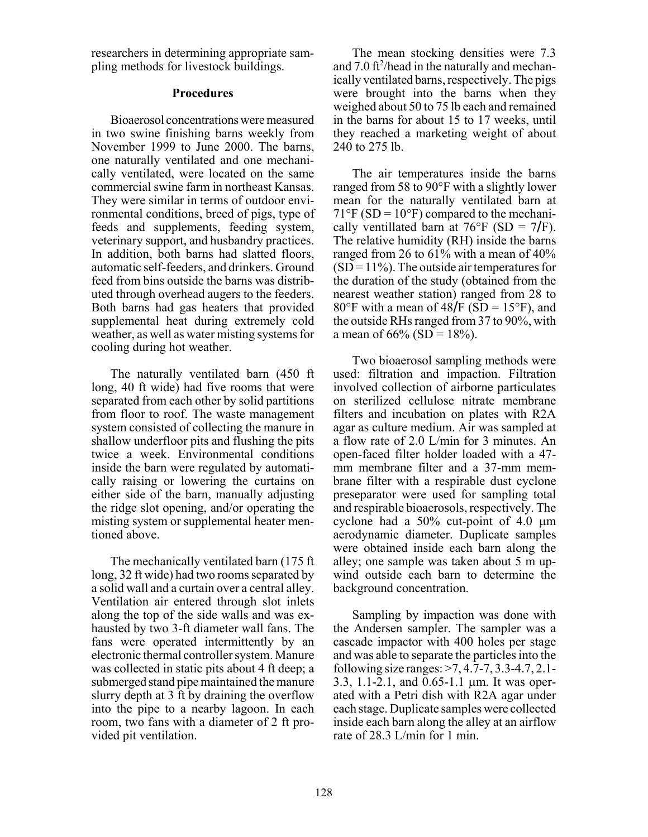researchers in determining appropriate sampling methods for livestock buildings.

#### **Procedures**

Bioaerosol concentrations were measured in two swine finishing barns weekly from November 1999 to June 2000. The barns, one naturally ventilated and one mechanically ventilated, were located on the same commercial swine farm in northeast Kansas. They were similar in terms of outdoor environmental conditions, breed of pigs, type of feeds and supplements, feeding system, veterinary support, and husbandry practices. In addition, both barns had slatted floors, automatic self-feeders, and drinkers. Ground feed from bins outside the barns was distributed through overhead augers to the feeders. Both barns had gas heaters that provided supplemental heat during extremely cold weather, as well as water misting systems for cooling during hot weather.

The naturally ventilated barn (450 ft long, 40 ft wide) had five rooms that were separated from each other by solid partitions from floor to roof. The waste management system consisted of collecting the manure in shallow underfloor pits and flushing the pits twice a week. Environmental conditions inside the barn were regulated by automatically raising or lowering the curtains on either side of the barn, manually adjusting the ridge slot opening, and/or operating the misting system or supplemental heater mentioned above.

The mechanically ventilated barn (175 ft long, 32 ft wide) had two rooms separated by a solid wall and a curtain over a central alley. Ventilation air entered through slot inlets along the top of the side walls and was exhausted by two 3-ft diameter wall fans. The fans were operated intermittently by an electronic thermal controller system. Manure was collected in static pits about 4 ft deep; a submerged stand pipe maintained the manure slurry depth at 3 ft by draining the overflow into the pipe to a nearby lagoon. In each room, two fans with a diameter of 2 ft provided pit ventilation.

The mean stocking densities were 7.3 and  $7.0$  ft<sup>2</sup>/head in the naturally and mechanically ventilated barns, respectively. The pigs were brought into the barns when they weighed about 50 to 75 lb each and remained in the barns for about 15 to 17 weeks, until they reached a marketing weight of about 240 to 275 lb.

The air temperatures inside the barns ranged from 58 to 90°F with a slightly lower mean for the naturally ventilated barn at  $71^{\circ}$ F (SD = 10°F) compared to the mechanically ventillated barn at  $76^{\circ}$ F (SD =  $7/F$ ). The relative humidity (RH) inside the barns ranged from 26 to 61% with a mean of 40%  $(SD = 11\%)$ . The outside air temperatures for the duration of the study (obtained from the nearest weather station) ranged from 28 to 80°F with a mean of 48 $/F$  (SD = 15°F), and the outside RHs ranged from 37 to 90%, with a mean of  $66\%$  (SD =  $18\%$ ).

Two bioaerosol sampling methods were used: filtration and impaction. Filtration involved collection of airborne particulates on sterilized cellulose nitrate membrane filters and incubation on plates with R2A agar as culture medium. Air was sampled at a flow rate of 2.0 L/min for 3 minutes. An open-faced filter holder loaded with a 47 mm membrane filter and a 37-mm membrane filter with a respirable dust cyclone preseparator were used for sampling total and respirable bioaerosols, respectively. The cyclone had a 50% cut-point of 4.0 µm aerodynamic diameter. Duplicate samples were obtained inside each barn along the alley; one sample was taken about 5 m upwind outside each barn to determine the background concentration.

Sampling by impaction was done with the Andersen sampler. The sampler was a cascade impactor with 400 holes per stage and was able to separate the particles into the following size ranges: >7, 4.7-7, 3.3-4.7, 2.1- 3.3, 1.1-2.1, and 0.65-1.1 µm. It was operated with a Petri dish with R2A agar under each stage. Duplicate samples were collected inside each barn along the alley at an airflow rate of 28.3 L/min for 1 min.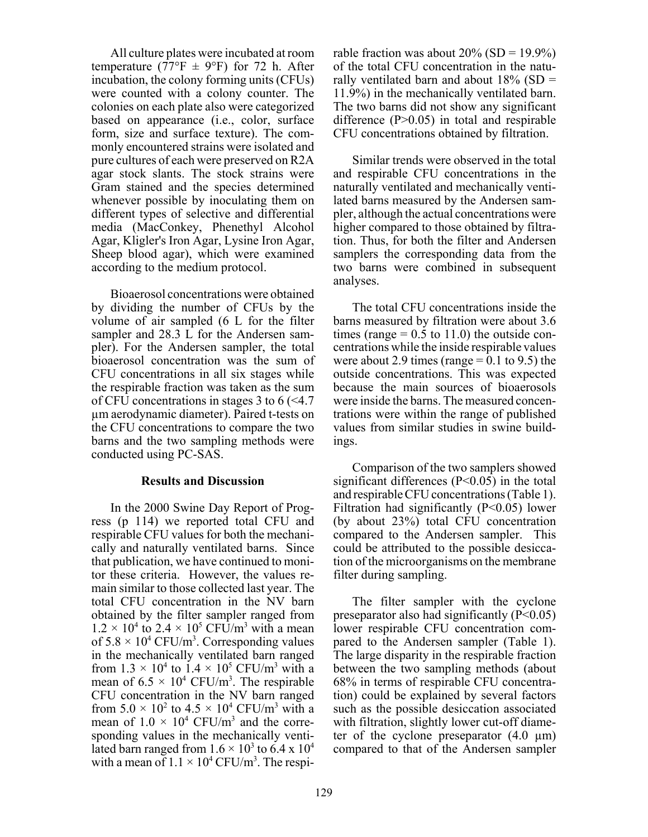All culture plates were incubated at room temperature (77°F  $\pm$  9°F) for 72 h. After incubation, the colony forming units (CFUs) were counted with a colony counter. The colonies on each plate also were categorized based on appearance (i.e., color, surface form, size and surface texture). The commonly encountered strains were isolated and pure cultures of each were preserved on R2A agar stock slants. The stock strains were Gram stained and the species determined whenever possible by inoculating them on different types of selective and differential media (MacConkey, Phenethyl Alcohol Agar, Kligler's Iron Agar, Lysine Iron Agar, Sheep blood agar), which were examined according to the medium protocol.

Bioaerosol concentrations were obtained by dividing the number of CFUs by the volume of air sampled (6 L for the filter sampler and 28.3 L for the Andersen sampler). For the Andersen sampler, the total bioaerosol concentration was the sum of CFU concentrations in all six stages while the respirable fraction was taken as the sum of CFU concentrations in stages 3 to 6 (<4.7 µm aerodynamic diameter). Paired t-tests on the CFU concentrations to compare the two barns and the two sampling methods were conducted using PC-SAS.

#### **Results and Discussion**

In the 2000 Swine Day Report of Progress (p 114) we reported total CFU and respirable CFU values for both the mechanically and naturally ventilated barns. Since that publication, we have continued to monitor these criteria. However, the values remain similar to those collected last year. The total CFU concentration in the NV barn obtained by the filter sampler ranged from  $1.2 \times 10^4$  to  $2.4 \times 10^5$  CFU/m<sup>3</sup> with a mean of  $5.8 \times 10^4$  CFU/m<sup>3</sup>. Corresponding values in the mechanically ventilated barn ranged from  $1.3 \times 10^4$  to  $1.4 \times 10^5$  CFU/m<sup>3</sup> with a mean of  $6.5 \times 10^4$  CFU/m<sup>3</sup>. The respirable CFU concentration in the NV barn ranged from  $5.0 \times 10^2$  to  $4.5 \times 10^4$  CFU/m<sup>3</sup> with a mean of  $1.0 \times 10^4$  CFU/m<sup>3</sup> and the corresponding values in the mechanically ventilated barn ranged from  $1.6 \times 10^3$  to 6.4 x  $10^4$ with a mean of  $1.1 \times 10^4$  CFU/m<sup>3</sup>. The respirable fraction was about  $20\%$  (SD = 19.9%) of the total CFU concentration in the naturally ventilated barn and about  $18\%$  (SD = 11.9%) in the mechanically ventilated barn. The two barns did not show any significant difference (P>0.05) in total and respirable CFU concentrations obtained by filtration.

Similar trends were observed in the total and respirable CFU concentrations in the naturally ventilated and mechanically ventilated barns measured by the Andersen sampler, although the actual concentrations were higher compared to those obtained by filtration. Thus, for both the filter and Andersen samplers the corresponding data from the two barns were combined in subsequent analyses.

The total CFU concentrations inside the barns measured by filtration were about 3.6 times (range  $= 0.5$  to 11.0) the outside concentrations while the inside respirable values were about 2.9 times (range  $= 0.1$  to 9.5) the outside concentrations. This was expected because the main sources of bioaerosols were inside the barns. The measured concentrations were within the range of published values from similar studies in swine buildings.

Comparison of the two samplers showed significant differences  $(P<0.05)$  in the total and respirable CFU concentrations (Table 1). Filtration had significantly  $(P<0.05)$  lower (by about 23%) total CFU concentration compared to the Andersen sampler. This could be attributed to the possible desiccation of the microorganisms on the membrane filter during sampling.

The filter sampler with the cyclone preseparator also had significantly  $(P<0.05)$ lower respirable CFU concentration compared to the Andersen sampler (Table 1). The large disparity in the respirable fraction between the two sampling methods (about 68% in terms of respirable CFU concentration) could be explained by several factors such as the possible desiccation associated with filtration, slightly lower cut-off diameter of the cyclone preseparator  $(4.0 \mu m)$ compared to that of the Andersen sampler